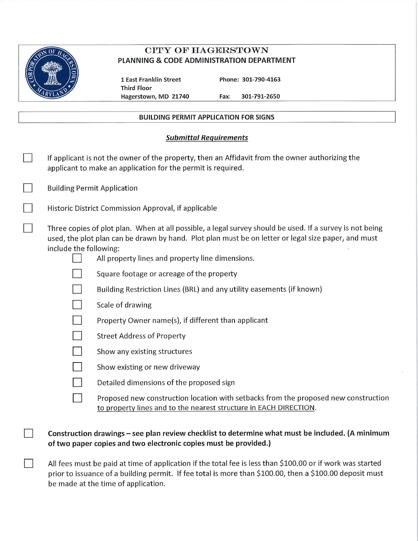

 $\overline{\phantom{a}}$ 

# **CITY OF HAGERSTOWN** PLANNING & CODE ADMINISTRATION DEPARTMENT

1 East Franklin Street **Third Floor** Hagerstown, MD 21740 Phone: 301-790-4163

Fax: 301-791-2650

## **BUILDING PERMIT APPLICATION FOR SIGNS**

## **Submittal Requirements**

| If applicant is not the owner of the property, then an Affidavit from the owner authorizing the<br>applicant to make an application for the permit is required. |                                                                                                                                                                                                                                                                                                                                                                                                                                                                                                                                                                                                                                                                                                                                                                                    |  |  |
|-----------------------------------------------------------------------------------------------------------------------------------------------------------------|------------------------------------------------------------------------------------------------------------------------------------------------------------------------------------------------------------------------------------------------------------------------------------------------------------------------------------------------------------------------------------------------------------------------------------------------------------------------------------------------------------------------------------------------------------------------------------------------------------------------------------------------------------------------------------------------------------------------------------------------------------------------------------|--|--|
|                                                                                                                                                                 | <b>Building Permit Application</b>                                                                                                                                                                                                                                                                                                                                                                                                                                                                                                                                                                                                                                                                                                                                                 |  |  |
|                                                                                                                                                                 | Historic District Commission Approval, if applicable                                                                                                                                                                                                                                                                                                                                                                                                                                                                                                                                                                                                                                                                                                                               |  |  |
| include the following:                                                                                                                                          | Three copies of plot plan. When at all possible, a legal survey should be used. If a survey is not being<br>used, the plot plan can be drawn by hand. Plot plan must be on letter or legal size paper, and must<br>All property lines and property line dimensions.<br>Square footage or acreage of the property<br>Building Restriction Lines (BRL) and any utility easements (if known)<br>Scale of drawing<br>Property Owner name(s), if different than applicant<br><b>Street Address of Property</b><br>Show any existing structures<br>Show existing or new driveway<br>Detailed dimensions of the proposed sign<br>Proposed new construction location with setbacks from the proposed new construction<br>to property lines and to the nearest structure in EACH DIRECTION. |  |  |
|                                                                                                                                                                 |                                                                                                                                                                                                                                                                                                                                                                                                                                                                                                                                                                                                                                                                                                                                                                                    |  |  |

Construction drawings - see plan review checklist to determine what must be included. (A minimum of two paper copies and two electronic copies must be provided.)

All fees must be paid at time of application if the total fee is less than \$100.00 or if work was started prior to issuance of a building permit. If fee total is more than \$100.00, then a \$100.00 deposit must be made at the time of application.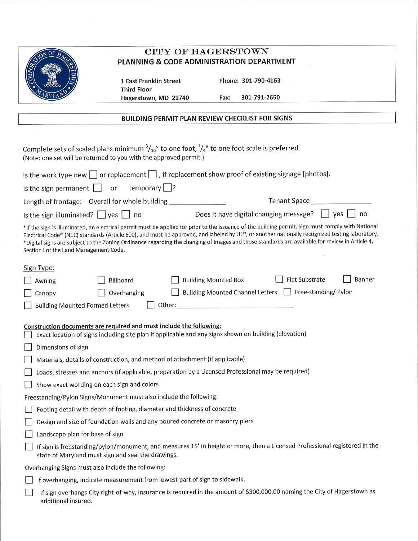| ŌF |
|----|
|    |
|    |
| ,  |

# **CITY OF HAGERSTOWN** PLANNING & CODE ADMINISTRATION DEPARTMENT

1 East Franklin Street **Third Floor** Hagerstown, MD 21740 Phone: 301-790-4163

301-791-2650

Fax:

## **BUILDING PERMIT PLAN REVIEW CHECKLIST FOR SIGNS**

| Complete sets of scaled plans minimum $\frac{3}{16}$ " to one foot, $\frac{1}{4}$ " to one foot scale is preferred<br>(Note: one set will be returned to you with the approved permit.)                                                                                                                                                                                                                                                                                                          |  |  |  |  |  |
|--------------------------------------------------------------------------------------------------------------------------------------------------------------------------------------------------------------------------------------------------------------------------------------------------------------------------------------------------------------------------------------------------------------------------------------------------------------------------------------------------|--|--|--|--|--|
| Is the work type new $\Box$ or replacement $\Box$ , if replacement show proof of existing signage [photos].                                                                                                                                                                                                                                                                                                                                                                                      |  |  |  |  |  |
| temporary $\Box$ ?<br>Is the sign permanent $\vert \vert$<br>or                                                                                                                                                                                                                                                                                                                                                                                                                                  |  |  |  |  |  |
| Length of frontage: Overall for whole building _______________                                                                                                                                                                                                                                                                                                                                                                                                                                   |  |  |  |  |  |
| Does it have digital changing message? $\Box$ yes<br>no<br>Is the sign illuminated? $\vert \vert$ yes $\vert \vert$ no                                                                                                                                                                                                                                                                                                                                                                           |  |  |  |  |  |
| *If the sign is illuminated, an electrical permit must be applied for prior to the issuance of the building permit. Sign must comply with National<br>Electrical Code® (NEC) standards (Article 600), and must be approved, and labeled by UL®, or another nationally recognized testing laboratory.<br>*Digital signs are subject to the Zoning Ordinance regarding the changing of images and those standards are available for review in Article 4,<br>Section I of the Land Management Code. |  |  |  |  |  |
| Sign Type:                                                                                                                                                                                                                                                                                                                                                                                                                                                                                       |  |  |  |  |  |
| Flat Substrate<br>Banner<br><b>Building Mounted Box</b><br>Billboard<br>Awning                                                                                                                                                                                                                                                                                                                                                                                                                   |  |  |  |  |  |
| Building Mounted Channel Letters Free-standing/Pylon<br>Overhanging<br>Canopy                                                                                                                                                                                                                                                                                                                                                                                                                    |  |  |  |  |  |
| <b>Building Mounted Formed Letters</b><br>Other:                                                                                                                                                                                                                                                                                                                                                                                                                                                 |  |  |  |  |  |
|                                                                                                                                                                                                                                                                                                                                                                                                                                                                                                  |  |  |  |  |  |
| Construction documents are required and must include the following:<br>Exact location of signs including site plan if applicable and any signs shown on building (elevation)                                                                                                                                                                                                                                                                                                                     |  |  |  |  |  |
| Dimensions of sign                                                                                                                                                                                                                                                                                                                                                                                                                                                                               |  |  |  |  |  |
| Materials, details of construction, and method of attachment (if applicable)                                                                                                                                                                                                                                                                                                                                                                                                                     |  |  |  |  |  |
| Loads, stresses and anchors (if applicable, preparation by a Licensed Professional may be required)                                                                                                                                                                                                                                                                                                                                                                                              |  |  |  |  |  |
| Show exact wording on each sign and colors                                                                                                                                                                                                                                                                                                                                                                                                                                                       |  |  |  |  |  |
| Freestanding/Pylon Signs/Monument must also include the following:                                                                                                                                                                                                                                                                                                                                                                                                                               |  |  |  |  |  |
| Footing detail with depth of footing, diameter and thickness of concrete                                                                                                                                                                                                                                                                                                                                                                                                                         |  |  |  |  |  |
| Design and size of foundation walls and any poured concrete or masonry piers                                                                                                                                                                                                                                                                                                                                                                                                                     |  |  |  |  |  |
| Landscape plan for base of sign                                                                                                                                                                                                                                                                                                                                                                                                                                                                  |  |  |  |  |  |
| If sign is freestanding/pylon/monument, and measures 15' in height or more, then a Licensed Professional registered in the<br>state of Maryland must sign and seal the drawings.                                                                                                                                                                                                                                                                                                                 |  |  |  |  |  |
| Overhanging Signs must also include the following:                                                                                                                                                                                                                                                                                                                                                                                                                                               |  |  |  |  |  |
| If overhanging, indicate measurement from lowest part of sign to sidewalk.                                                                                                                                                                                                                                                                                                                                                                                                                       |  |  |  |  |  |
| If sign overhangs City right-of-way, insurance is required in the amount of \$300,000.00 naming the City of Hagerstown as<br>additional insured.                                                                                                                                                                                                                                                                                                                                                 |  |  |  |  |  |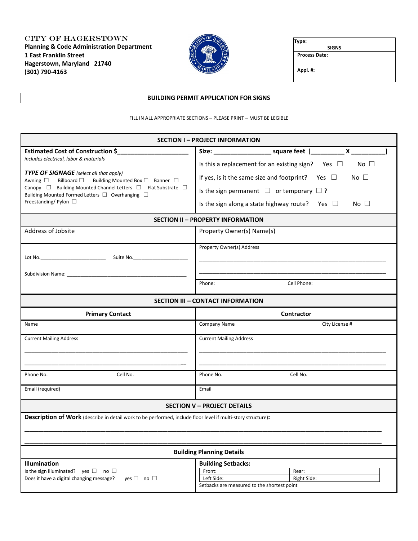City of Hagerstown **Planning & Code Administration Department 1 East Franklin Street Hagerstown, Maryland 21740 (301) 790-4163**



| Type:                |  |
|----------------------|--|
| <b>SIGNS</b>         |  |
| <b>Process Date:</b> |  |
| Appl. #:             |  |

### **BUILDING PERMIT APPLICATION FOR SIGNS**

#### FILL IN ALL APPROPRIATE SECTIONS – PLEASE PRINT – MUST BE LEGIBLE

|                                                                                                                                                                                                                                                                                                                                               | <b>SECTION I - PROJECT INFORMATION</b>                                                                                                                                                                                                                                 |  |  |  |  |  |  |
|-----------------------------------------------------------------------------------------------------------------------------------------------------------------------------------------------------------------------------------------------------------------------------------------------------------------------------------------------|------------------------------------------------------------------------------------------------------------------------------------------------------------------------------------------------------------------------------------------------------------------------|--|--|--|--|--|--|
| <b>Estimated Cost of Construction \$_</b><br>includes electrical, labor & materials<br><b>TYPE OF SIGNAGE</b> (select all that apply)<br>Awning □ Billboard □ Building Mounted Box □ Banner □<br>Canopy □ Building Mounted Channel Letters □ Flat Substrate □<br>Building Mounted Formed Letters □ Overhanging □<br>Freestanding/Pylon $\Box$ | Is this a replacement for an existing sign? Yes $\Box$<br>No $\Box$<br>If yes, is it the same size and footprint? Yes $\Box$<br>No $\square$<br>Is the sign permanent $\Box$ or temporary $\Box$ ?<br>Is the sign along a state highway route? Yes $\Box$<br>No $\Box$ |  |  |  |  |  |  |
|                                                                                                                                                                                                                                                                                                                                               |                                                                                                                                                                                                                                                                        |  |  |  |  |  |  |
|                                                                                                                                                                                                                                                                                                                                               | <b>SECTION II - PROPERTY INFORMATION</b>                                                                                                                                                                                                                               |  |  |  |  |  |  |
| Address of Jobsite                                                                                                                                                                                                                                                                                                                            | Property Owner(s) Name(s)                                                                                                                                                                                                                                              |  |  |  |  |  |  |
| Lot No. 50 Suite No.                                                                                                                                                                                                                                                                                                                          | Property Owner(s) Address                                                                                                                                                                                                                                              |  |  |  |  |  |  |
| Subdivision Name: Name and Subdivision Name and Subdivision Name and Subdivision of the Subdivision of the Subdivision of the Subdivision of the Subdivision of the Subdivision of the Subdivision of the Subdivision of the S                                                                                                                |                                                                                                                                                                                                                                                                        |  |  |  |  |  |  |
|                                                                                                                                                                                                                                                                                                                                               | Phone:<br>Cell Phone:                                                                                                                                                                                                                                                  |  |  |  |  |  |  |
|                                                                                                                                                                                                                                                                                                                                               | <b>SECTION III - CONTACT INFORMATION</b>                                                                                                                                                                                                                               |  |  |  |  |  |  |
| <b>Primary Contact</b>                                                                                                                                                                                                                                                                                                                        | <b>Contractor</b>                                                                                                                                                                                                                                                      |  |  |  |  |  |  |
| Name                                                                                                                                                                                                                                                                                                                                          | City License #<br><b>Company Name</b>                                                                                                                                                                                                                                  |  |  |  |  |  |  |
| <b>Current Mailing Address</b>                                                                                                                                                                                                                                                                                                                | <b>Current Mailing Address</b>                                                                                                                                                                                                                                         |  |  |  |  |  |  |
| Cell No.<br>Phone No.                                                                                                                                                                                                                                                                                                                         | Phone No.<br>Cell No.                                                                                                                                                                                                                                                  |  |  |  |  |  |  |
| Email (required)                                                                                                                                                                                                                                                                                                                              | Email                                                                                                                                                                                                                                                                  |  |  |  |  |  |  |
|                                                                                                                                                                                                                                                                                                                                               | <b>SECTION V - PROJECT DETAILS</b>                                                                                                                                                                                                                                     |  |  |  |  |  |  |
| <b>Description of Work</b> (describe in detail work to be performed, include floor level if multi-story structure):                                                                                                                                                                                                                           |                                                                                                                                                                                                                                                                        |  |  |  |  |  |  |
|                                                                                                                                                                                                                                                                                                                                               | <b>Building Planning Details</b>                                                                                                                                                                                                                                       |  |  |  |  |  |  |
| <b>Illumination</b><br>Is the sign illuminated? yes $\Box$ no $\Box$<br>Does it have a digital changing message?<br>$ves \Box no \Box$                                                                                                                                                                                                        | <b>Building Setbacks:</b><br>Front:<br>Rear:<br>Left Side:<br>Right Side:<br>Setbacks are measured to the shortest point                                                                                                                                               |  |  |  |  |  |  |